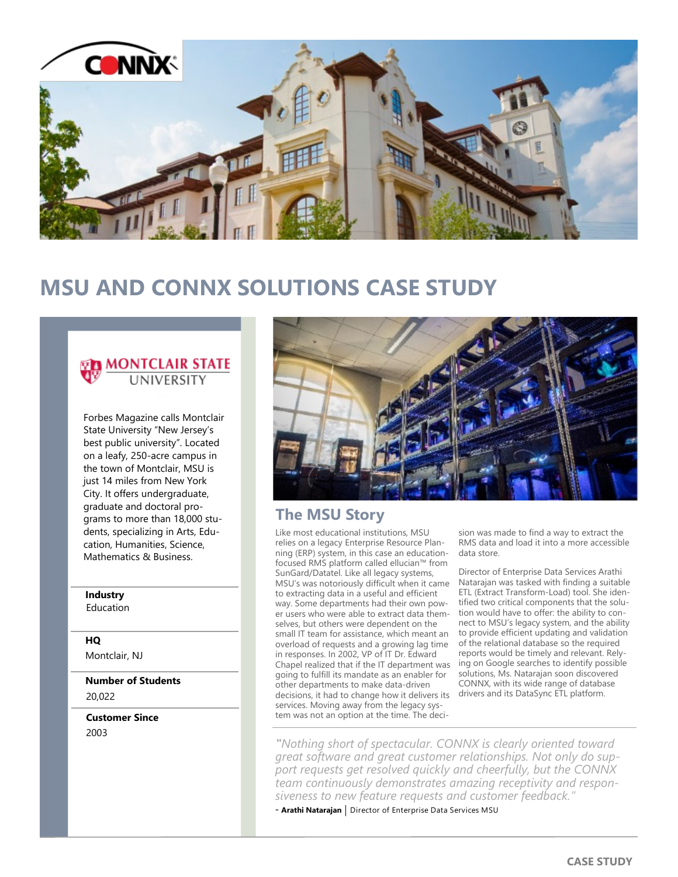

# **MSU AND CONNX SOLUTIONS CASE STUDY**

### MONTCLAIR STATE **UNIVERSITY**

Forbes Magazine calls Montclair State University "New Jersey's best public university". Located on a leafy, 250-acre campus in the town of Montclair, MSU is just 14 miles from New York City. It offers undergraduate, graduate and doctoral programs to more than 18,000 students, specializing in Arts, Education, Humanities, Science, Mathematics & Business.

# **Industry**

Education

### **HQ**

Montclair, NJ

**Number of Students** 20,022

**Customer Since** 2003



# **The MSU Story**

Like most educational institutions, MSU relies on a legacy Enterprise Resource Planning (ERP) system, in this case an educationfocused RMS platform called ellucian™ from SunGard/Datatel. Like all legacy systems, MSU's was notoriously difficult when it came to extracting data in a useful and efficient way. Some departments had their own power users who were able to extract data themselves, but others were dependent on the small IT team for assistance, which meant an overload of requests and a growing lag time in responses. In 2002, VP of IT Dr. Edward Chapel realized that if the IT department was going to fulfill its mandate as an enabler for other departments to make data-driven decisions, it had to change how it delivers its services. Moving away from the legacy system was not an option at the time. The deci-

sion was made to find a way to extract the RMS data and load it into a more accessible data store.

Director of Enterprise Data Services Arathi Natarajan was tasked with finding a suitable ETL (Extract Transform-Load) tool. She identified two critical components that the solution would have to offer: the ability to connect to MSU's legacy system, and the ability to provide efficient updating and validation of the relational database so the required reports would be timely and relevant. Relying on Google searches to identify possible solutions, Ms. Natarajan soon discovered CONNX, with its wide range of database drivers and its DataSync ETL platform.

*"Nothing short of spectacular. CONNX is clearly oriented toward great software and great customer relationships. Not only do support requests get resolved quickly and cheerfully, but the CONNX team continuously demonstrates amazing receptivity and responsiveness to new feature requests and customer feedback."*

- **Arathi Natarajan** | Director of Enterprise Data Services MSU